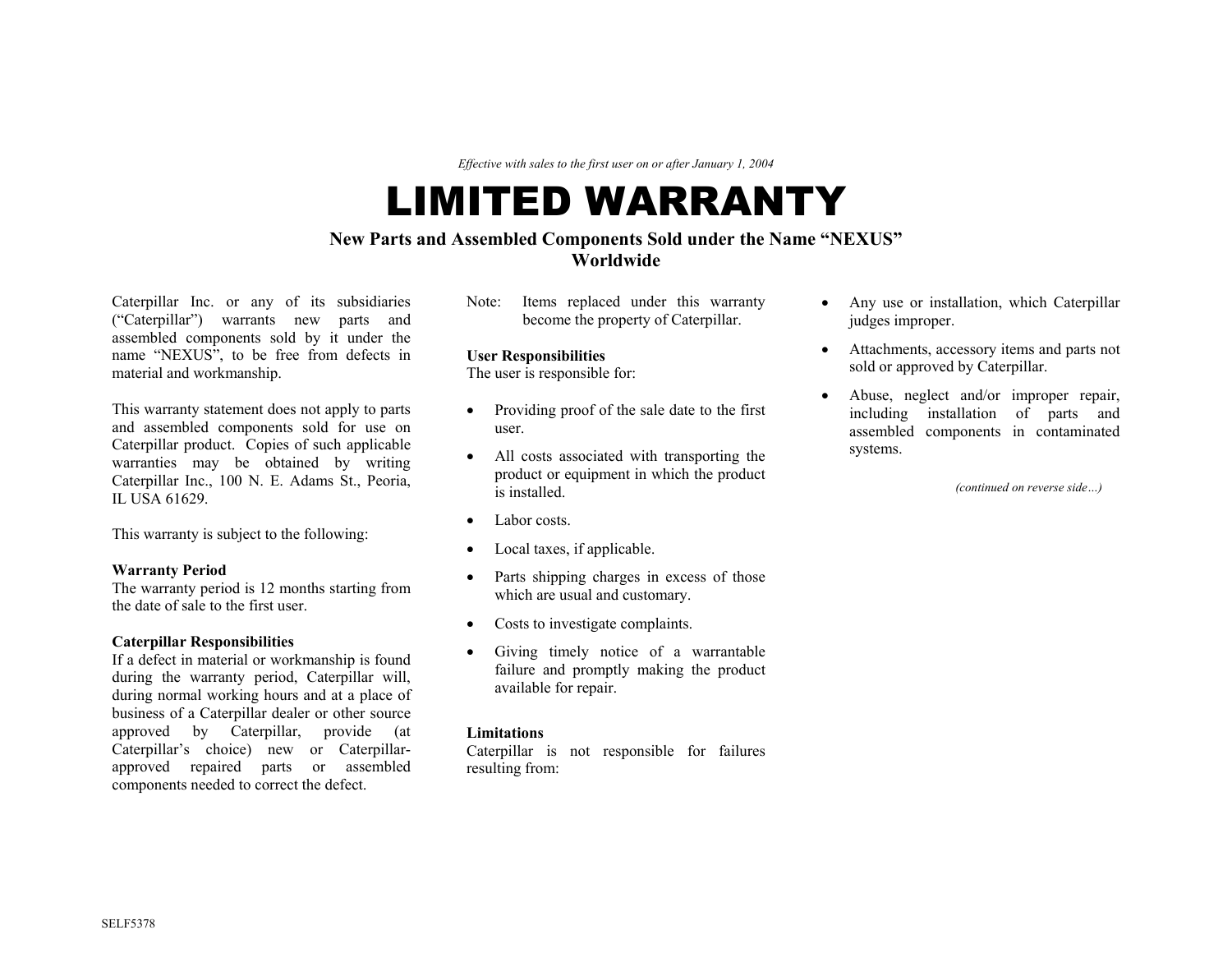*Effective with sales to the first user on or after January 1, 2004* 

# LIMITED WARRANTY

## **New Parts and Assembled Components Sold under the Name "NEXUS" Worldwide**

Caterpillar Inc. or any of its subsidiaries ("Caterpillar") warrants new parts and assembled components sold by it under the name "NEXUS", to be free from defects in material and workmanship.

This warranty statement does not apply to parts and assembled components sold for use on Caterpillar product. Copies of such applicable warranties may be obtained by writing Caterpillar Inc., 100 N. E. Adams St., Peoria, IL USA 61629.

This warranty is subject to the following:

The warranty period is 12 months starting from the date of sale to the first user.

If a defect in material or workmanship is found during the warranty period, Caterpillar will, during normal working hours and at a place of business of a Caterpillar dealer or other source approved by Caterpillar, provide (at Caterpillar's choice) new or Caterpillarapproved repaired parts or assembled components needed to correct the defect.

Note: Items replaced under this warranty become the property of Caterpillar.

The user is responsible for:

- Providing proof of the sale date to the first user.
- All costs associated with transporting the product or equipment in which the product is installed.
- Labor costs.
- Local taxes, if applicable.
- **Warranty Period** Parts shipping charges in excess of those
	- Costs to investigate complaints.
- **Caterpillar Responsibilities**  Giving timely notice of a warrantable failure and promptly making the product available for repair.

### **Limitations**

Caterpillar is not responsible for failures resulting from:

- Any use or installation, which Caterpillar judges improper.
- Attachments, accessory items and parts not User Responsibilities **Caterpillar Caterpillar Caterpillar Caterpillar User Responsible for: User Responsible for: User Responsible for: User Responsible for: User Responsible for: User Responsible for:**
	- Abuse, neglect and/or improper repair, including installation of parts and assembled components in contaminated systems.

*(continued on reverse side…)*